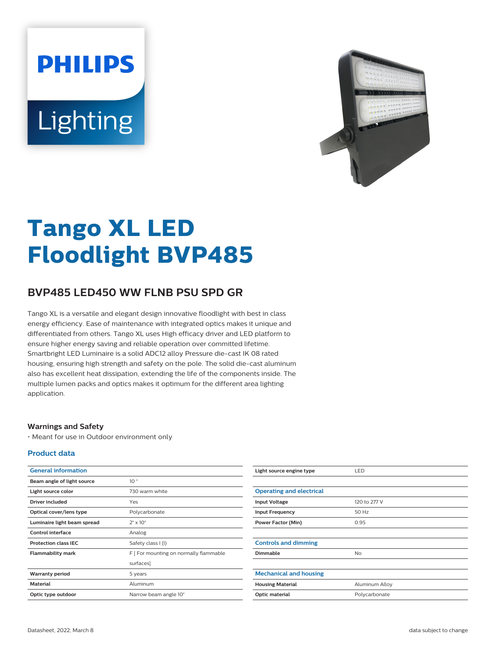# **PHILIPS** Lighting



# **Tango XL LED Floodlight BVP485**

## **BVP485 LED450 WW FLNB PSU SPD GR**

Tango XL is a versatile and elegant design innovative floodlight with best in class energy efficiency. Ease of maintenance with integrated optics makes it unique and differentiated from others. Tango XL uses High efficacy driver and LED platform to ensure higher energy saving and reliable operation over committed lifetime. Smartbright LED Luminaire is a solid ADC12 alloy Pressure die-cast IK 08 rated housing, ensuring high strength and safety on the pole. The solid die-cast aluminum also has excellent heat dissipation, extending the life of the components inside. The multiple lumen packs and optics makes it optimum for the different area lighting application.

#### **Warnings and Safety**

• Meant for use in Outdoor environment only

#### **Product data**

| <b>General information</b>  |                                        |
|-----------------------------|----------------------------------------|
| Beam angle of light source  | 10 <sup>°</sup>                        |
| Light source color          | 730 warm white                         |
| Driver included             | Yes                                    |
| Optical cover/lens type     | Polycarbonate                          |
| Luminaire light beam spread | $2^{\circ} \times 10^{\circ}$          |
| Control interface           | Analog                                 |
| <b>Protection class IEC</b> | Safety class I (I)                     |
| <b>Flammability mark</b>    | F [ For mounting on normally flammable |
|                             | surfaces]                              |
| <b>Warranty period</b>      | 5 years                                |
| <b>Material</b>             | Aluminum                               |
| Optic type outdoor          | Narrow beam angle 10°                  |

| Light source engine type        | LED            |
|---------------------------------|----------------|
|                                 |                |
| <b>Operating and electrical</b> |                |
| <b>Input Voltage</b>            | 120 to 277 V   |
| <b>Input Frequency</b>          | 50 Hz          |
| <b>Power Factor (Min)</b>       | 0.95           |
|                                 |                |
| <b>Controls and dimming</b>     |                |
| <b>Dimmable</b>                 | <b>No</b>      |
|                                 |                |
| <b>Mechanical and housing</b>   |                |
| <b>Housing Material</b>         | Aluminum Alloy |
| Optic material                  | Polycarbonate  |
|                                 |                |